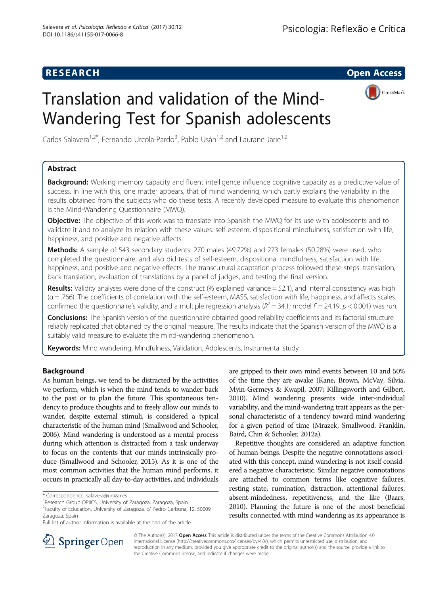## **RESEARCH CHE Open Access**

# Translation and validation of the Mind-Wandering Test for Spanish adolescents



Carlos Salavera<sup>1,2\*</sup>, Fernando Urcola-Pardo<sup>3</sup>, Pablo Usán<sup>1,2</sup> and Laurane Jarie<sup>1,2</sup>

## Abstract

Background: Working memory capacity and fluent intelligence influence cognitive capacity as a predictive value of success. In line with this, one matter appears, that of mind wandering, which partly explains the variability in the results obtained from the subjects who do these tests. A recently developed measure to evaluate this phenomenon is the Mind-Wandering Questionnaire (MWQ).

Objective: The objective of this work was to translate into Spanish the MWQ for its use with adolescents and to validate it and to analyze its relation with these values: self-esteem, dispositional mindfulness, satisfaction with life, happiness, and positive and negative affects.

Methods: A sample of 543 secondary students: 270 males (49.72%) and 273 females (50.28%) were used, who completed the questionnaire, and also did tests of self-esteem, dispositional mindfulness, satisfaction with life, happiness, and positive and negative effects. The transcultural adaptation process followed these steps: translation, back translation, evaluation of translations by a panel of judges, and testing the final version.

Results: Validity analyses were done of the construct (% explained variance  $=$  52.1), and internal consistency was high (α = .766). The coefficients of correlation with the self-esteem, MASS, satisfaction with life, happiness, and affects scales confirmed the questionnaire's validity, and a multiple regression analysis ( $R^2 = 34.1$ ; model  $F = 24.19$ .  $p < 0.001$ ) was run.

Conclusions: The Spanish version of the questionnaire obtained good reliability coefficients and its factorial structure reliably replicated that obtained by the original measure. The results indicate that the Spanish version of the MWQ is a suitably valid measure to evaluate the mind-wandering phenomenon.

Keywords: Mind wandering, Mindfulness, Validation, Adolescents, Instrumental study

## Background

As human beings, we tend to be distracted by the activities we perform, which is when the mind tends to wander back to the past or to plan the future. This spontaneous tendency to produce thoughts and to freely allow our minds to wander, despite external stimuli, is considered a typical characteristic of the human mind (Smallwood and Schooler, [2006\)](#page-7-0). Mind wandering is understood as a mental process during which attention is distracted from a task underway to focus on the contents that our minds intrinsically produce (Smallwood and Schooler, [2015\)](#page-7-0). As it is one of the most common activities that the human mind performs, it occurs in practically all day-to-day activities, and individuals

are gripped to their own mind events between 10 and 50% of the time they are awake (Kane, Brown, McVay, Silvia, Myin-Germeys & Kwapil, [2007](#page-6-0); Killingsworth and Gilbert, [2010\)](#page-6-0). Mind wandering presents wide inter-individual variability, and the mind-wandering trait appears as the personal characteristic of a tendency toward mind wandering for a given period of time (Mrazek, Smallwood, Franklin, Baird, Chin & Schooler, [2012a\)](#page-7-0).

Repetitive thoughts are considered an adaptive function of human beings. Despite the negative connotations associated with this concept, mind wandering is not itself considered a negative characteristic. Similar negative connotations are attached to common terms like cognitive failures, resting state, rumination, distraction, attentional failures, absent-mindedness, repetitiveness, and the like (Baars, [2010\)](#page-6-0). Planning the future is one of the most beneficial results connected with mind wandering as its appearance is



© The Author(s). 2017 Open Access This article is distributed under the terms of the Creative Commons Attribution 4.0 International License ([http://creativecommons.org/licenses/by/4.0/\)](http://creativecommons.org/licenses/by/4.0/), which permits unrestricted use, distribution, and reproduction in any medium, provided you give appropriate credit to the original author(s) and the source, provide a link to the Creative Commons license, and indicate if changes were made.

<sup>\*</sup> Correspondence: [salavera@unizar.es](mailto:salavera@unizar.es) <sup>1</sup>

<sup>&</sup>lt;sup>1</sup> Research Group OPIICS, University of Zaragoza, Zaragoza, Spain

<sup>&</sup>lt;sup>2</sup> Faculty of Education, University of Zaragoza, c/ Pedro Cerbuna, 12, 50009 Zaragoza, Spain

Full list of author information is available at the end of the article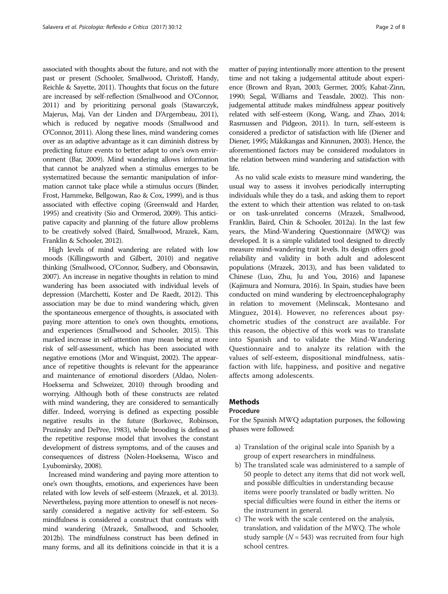associated with thoughts about the future, and not with the past or present (Schooler, Smallwood, Christoff, Handy, Reichle & Sayette, [2011\)](#page-7-0). Thoughts that focus on the future are increased by self-reflection (Smallwood and O'Connor, [2011\)](#page-7-0) and by prioritizing personal goals (Stawarczyk, Majerus, Maj, Van der Linden and D'Argembeau, [2011](#page-7-0)), which is reduced by negative moods (Smallwood and O'Connor, [2011\)](#page-7-0). Along these lines, mind wandering comes over as an adaptive advantage as it can diminish distress by predicting future events to better adapt to one's own environment (Bar, [2009](#page-6-0)). Mind wandering allows information that cannot be analyzed when a stimulus emerges to be systematized because the semantic manipulation of information cannot take place while a stimulus occurs (Binder, Frost, Hammeke, Bellgowan, Rao & Cox, [1999\)](#page-6-0), and is thus associated with effective coping (Greenwald and Harder, [1995\)](#page-6-0) and creativity (Sio and Ormerod, [2009](#page-7-0)). This anticipative capacity and planning of the future allow problems to be creatively solved (Baird, Smallwood, Mrazek, Kam, Franklin & Schooler, [2012](#page-6-0)).

High levels of mind wandering are related with low moods (Killingsworth and Gilbert, [2010\)](#page-6-0) and negative thinking (Smallwood, O'Connor, Sudbery, and Obonsawin, [2007\)](#page-7-0). An increase in negative thoughts in relation to mind wandering has been associated with individual levels of depression (Marchetti, Koster and De Raedt, [2012\)](#page-7-0). This association may be due to mind wandering which, given the spontaneous emergence of thoughts, is associated with paying more attention to one's own thoughts, emotions, and experiences (Smallwood and Schooler, [2015\)](#page-7-0). This marked increase in self-attention may mean being at more risk of self-assessment, which has been associated with negative emotions (Mor and Winquist, [2002\)](#page-7-0). The appearance of repetitive thoughts is relevant for the appearance and maintenance of emotional disorders (Aldao, Nolen-Hoeksema and Schweizer, [2010](#page-6-0)) through brooding and worrying. Although both of these constructs are related with mind wandering, they are considered to semantically differ. Indeed, worrying is defined as expecting possible negative results in the future (Borkovec, Robinson, Pruzinsky and DePree, [1983](#page-6-0)), while brooding is defined as the repetitive response model that involves the constant development of distress symptoms, and of the causes and consequences of distress (Nolen-Hoeksema, Wisco and Lyubomirsky, [2008](#page-7-0)).

Increased mind wandering and paying more attention to one's own thoughts, emotions, and experiences have been related with low levels of self-esteem (Mrazek, et al. [2013](#page-7-0)). Nevertheless, paying more attention to oneself is not necessarily considered a negative activity for self-esteem. So mindfulness is considered a construct that contrasts with mind wandering (Mrazek, Smallwood, and Schooler, [2012b\)](#page-7-0). The mindfulness construct has been defined in many forms, and all its definitions coincide in that it is a

matter of paying intentionally more attention to the present time and not taking a judgemental attitude about experience (Brown and Ryan, [2003](#page-6-0); Germer, [2005;](#page-6-0) Kabat-Zinn, [1990;](#page-6-0) Segal, Williams and Teasdale, [2002](#page-7-0)). This nonjudgemental attitude makes mindfulness appear positively related with self-esteem (Kong, Wang, and Zhao, [2014](#page-7-0); Rasmussen and Pidgeon, [2011](#page-7-0)). In turn, self-esteem is considered a predictor of satisfaction with life (Diener and Diener, [1995](#page-6-0); Mäkikangas and Kinnunen, [2003](#page-7-0)). Hence, the aforementioned factors may be considered modulators in the relation between mind wandering and satisfaction with life.

As no valid scale exists to measure mind wandering, the usual way to assess it involves periodically interrupting individuals while they do a task, and asking them to report the extent to which their attention was related to on-task or on task-unrelated concerns (Mrazek, Smallwood, Franklin, Baird, Chin & Schooler, [2012a\)](#page-7-0). In the last few years, the Mind-Wandering Questionnaire (MWQ) was developed. It is a simple validated tool designed to directly measure mind-wandering trait levels. Its design offers good reliability and validity in both adult and adolescent populations (Mrazek, [2013\)](#page-7-0), and has been validated to Chinese (Luo, Zhu, Ju and You, [2016](#page-7-0)) and Japanese (Kajimura and Nomura, [2016\)](#page-6-0). In Spain, studies have been conducted on mind wandering by electroencephalography in relation to movement (Melinscak, Montesano and Minguez, [2014\)](#page-7-0). However, no references about psychometric studies of the construct are available. For this reason, the objective of this work was to translate into Spanish and to validate the Mind-Wandering Questionnaire and to analyze its relation with the values of self-esteem, dispositional mindfulness, satisfaction with life, happiness, and positive and negative affects among adolescents.

## **Methods**

## Procedure

For the Spanish MWQ adaptation purposes, the following phases were followed:

- a) Translation of the original scale into Spanish by a group of expert researchers in mindfulness.
- b) The translated scale was administered to a sample of 50 people to detect any items that did not work well, and possible difficulties in understanding because items were poorly translated or badly written. No special difficulties were found in either the items or the instrument in general.
- c) The work with the scale centered on the analysis, translation, and validation of the MWQ. The whole study sample ( $N = 543$ ) was recruited from four high school centres.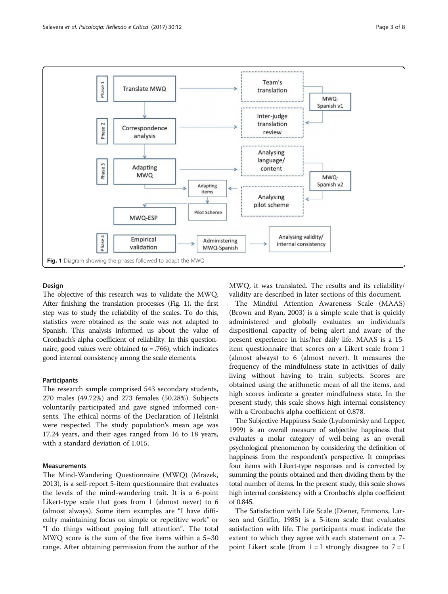

## **Design**

The objective of this research was to validate the MWQ. After finishing the translation processes (Fig. 1), the first step was to study the reliability of the scales. To do this, statistics were obtained as the scale was not adapted to Spanish. This analysis informed us about the value of Cronbach's alpha coefficient of reliability. In this questionnaire, good values were obtained ( $α = .766$ ), which indicates good internal consistency among the scale elements.

## Participants

The research sample comprised 543 secondary students, 270 males (49.72%) and 273 females (50.28%). Subjects voluntarily participated and gave signed informed consents. The ethical norms of the Declaration of Helsinki were respected. The study population's mean age was 17.24 years, and their ages ranged from 16 to 18 years, with a standard deviation of 1.015.

## Measurements

The Mind-Wandering Questionnaire (MWQ) (Mrazek, [2013](#page-7-0)), is a self-report 5-item questionnaire that evaluates the levels of the mind-wandering trait. It is a 6-point Likert-type scale that goes from 1 (almost never) to 6 (almost always). Some item examples are "I have difficulty maintaining focus on simple or repetitive work" or "I do things without paying full attention". The total MWQ score is the sum of the five items within a 5–30 range. After obtaining permission from the author of the MWQ, it was translated. The results and its reliability/ validity are described in later sections of this document.

The Mindful Attention Awareness Scale (MAAS) (Brown and Ryan, [2003](#page-6-0)) is a simple scale that is quickly administered and globally evaluates an individual's dispositional capacity of being alert and aware of the present experience in his/her daily life. MAAS is a 15 item questionnaire that scores on a Likert scale from 1 (almost always) to 6 (almost never). It measures the frequency of the mindfulness state in activities of daily living without having to train subjects. Scores are obtained using the arithmetic mean of all the items, and high scores indicate a greater mindfulness state. In the present study, this scale shows high internal consistency with a Cronbach's alpha coefficient of 0.878.

The Subjective Happiness Scale (Lyubomirsky and Lepper, [1999](#page-7-0)) is an overall measure of subjective happiness that evaluates a molar category of well-being as an overall psychological phenomenon by considering the definition of happiness from the respondent's perspective. It comprises four items with Likert-type responses and is corrected by summing the points obtained and then dividing them by the total number of items. In the present study, this scale shows high internal consistency with a Cronbach's alpha coefficient of 0.845.

The Satisfaction with Life Scale (Diener, Emmons, Larsen and Griffin, [1985\)](#page-6-0) is a 5-item scale that evaluates satisfaction with life. The participants must indicate the extent to which they agree with each statement on a 7 point Likert scale (from  $1 = I$  strongly disagree to  $7 = I$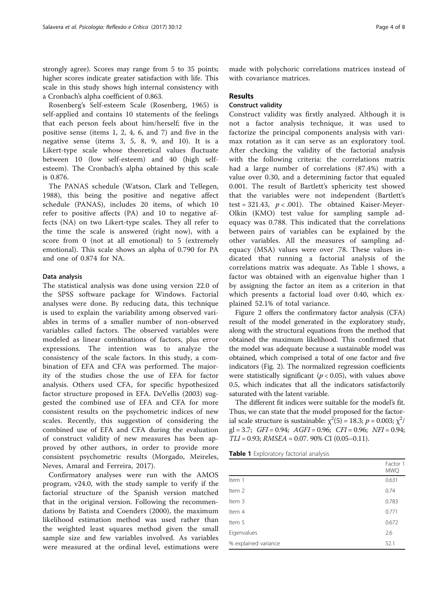strongly agree). Scores may range from 5 to 35 points; higher scores indicate greater satisfaction with life. This scale in this study shows high internal consistency with a Cronbach's alpha coefficient of 0.863.

Rosenberg's Self-esteem Scale (Rosenberg, [1965](#page-7-0)) is self-applied and contains 10 statements of the feelings that each person feels about him/herself; five in the positive sense (items 1, 2, 4, 6, and 7) and five in the negative sense (items 3, 5, 8, 9, and 10). It is a Likert-type scale whose theoretical values fluctuate between 10 (low self-esteem) and 40 (high selfesteem). The Cronbach's alpha obtained by this scale is 0.876.

The PANAS schedule (Watson, Clark and Tellegen, [1988\)](#page-7-0), this being the positive and negative affect schedule (PANAS), includes 20 items, of which 10 refer to positive affects (PA) and 10 to negative affects (NA) on two Likert-type scales. They all refer to the time the scale is answered (right now), with a score from 0 (not at all emotional) to 5 (extremely emotional). This scale shows an alpha of 0.790 for PA and one of 0.874 for NA.

#### Data analysis

The statistical analysis was done using version 22.0 of the SPSS software package for Windows. Factorial analyses were done. By reducing data, this technique is used to explain the variability among observed variables in terms of a smaller number of non-observed variables called factors. The observed variables were modeled as linear combinations of factors, plus error expressions. The intention was to analyze the consistency of the scale factors. In this study, a combination of EFA and CFA was performed. The majority of the studies chose the use of EFA for factor analysis. Others used CFA, for specific hypothesized factor structure proposed in EFA. DeVellis ([2003\)](#page-6-0) suggested the combined use of EFA and CFA for more consistent results on the psychometric indices of new scales. Recently, this suggestion of considering the combined use of EFA and CFA during the evaluation of construct validity of new measures has been approved by other authors, in order to provide more consistent psychometric results (Morgado, Meireles, Neves, Amaral and Ferreira, [2017\)](#page-7-0).

Confirmatory analyses were run with the AMOS program, v24.0, with the study sample to verify if the factorial structure of the Spanish version matched that in the original version. Following the recommendations by Batista and Coenders ([2000\)](#page-6-0), the maximum likelihood estimation method was used rather than the weighted least squares method given the small sample size and few variables involved. As variables were measured at the ordinal level, estimations were

made with polychoric correlations matrices instead of with covariance matrices.

#### Results

## Construct validity

Construct validity was firstly analyzed. Although it is not a factor analysis technique, it was used to factorize the principal components analysis with varimax rotation as it can serve as an exploratory tool. After checking the validity of the factorial analysis with the following criteria: the correlations matrix had a large number of correlations (87.4%) with a value over 0.30, and a determining factor that equaled 0.001. The result of Bartlett's sphericity test showed that the variables were not independent (Bartlett's test = 321.43,  $p < .001$ ). The obtained Kaiser-Meyer-Olkin (KMO) test value for sampling sample adequacy was 0.788. This indicated that the correlations between pairs of variables can be explained by the other variables. All the measures of sampling adequacy (MSA) values were over .78. These values indicated that running a factorial analysis of the correlations matrix was adequate. As Table 1 shows, a factor was obtained with an eigenvalue higher than 1 by assigning the factor an item as a criterion in that which presents a factorial load over 0.40, which explained 52.1% of total variance.

Figure [2](#page-4-0) offers the confirmatory factor analysis (CFA) result of the model generated in the exploratory study, along with the structural equations from the method that obtained the maximum likelihood. This confirmed that the model was adequate because a sustainable model was obtained, which comprised a total of one factor and five indicators (Fig. [2](#page-4-0)). The normalized regression coefficients were statistically significant ( $p < 0.05$ ), with values above 0.5, which indicates that all the indicators satisfactorily saturated with the latent variable.

The different fit indices were suitable for the model's fit. Thus, we can state that the model proposed for the factorial scale structure is sustainable:  $\chi^2(5) = 18.3$ ;  $p = 0.003$ ;  $\chi^2$ /  $gl = 3.7$ ;  $GFI = 0.94$ ;  $AGFI = 0.96$ ;  $CFI = 0.96$ ;  $NFI = 0.94$ ;  $TLI = 0.93; RMSEA = 0.07.90% CI (0.05-0.11).$ 

| <b>Table 1</b> Exploratory factorial analysis |  |  |
|-----------------------------------------------|--|--|
|-----------------------------------------------|--|--|

|                      | Factor 1<br><b>MWQ</b> |
|----------------------|------------------------|
| Item 1               | 0.631                  |
| Item 2               | 0.74                   |
| Item 3               | 0.783                  |
| Item 4               | 0.771                  |
| Item 5               | 0.672                  |
| Eigenvalues          | 2.6                    |
| % explained variance | 52.1                   |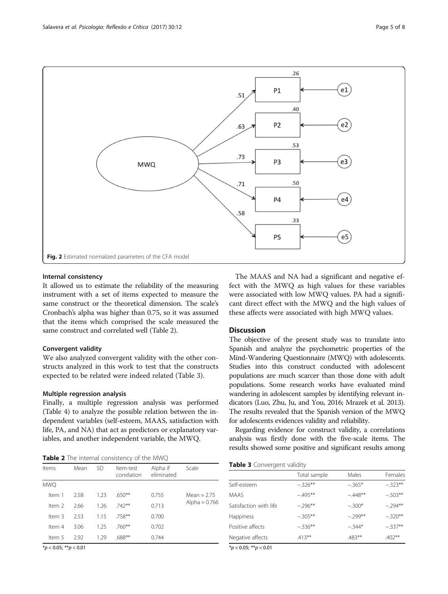<span id="page-4-0"></span>![](_page_4_Figure_1.jpeg)

## Internal consistency

It allowed us to estimate the reliability of the measuring instrument with a set of items expected to measure the same construct or the theoretical dimension. The scale's Cronbach's alpha was higher than 0.75, so it was assumed that the items which comprised the scale measured the same construct and correlated well (Table 2).

## Convergent validity

We also analyzed convergent validity with the other constructs analyzed in this work to test that the constructs expected to be related were indeed related (Table 3).

## Multiple regression analysis

Finally, a multiple regression analysis was performed (Table [4\)](#page-5-0) to analyze the possible relation between the independent variables (self-esteem, MAAS, satisfaction with life, PA, and NA) that act as predictors or explanatory variables, and another independent variable, the MWQ.

Table 2 The internal consistency of the MWQ

| Items             | Mean | SD   | Item-test<br>correlation | Alpha if<br>eliminated | Scale                            |
|-------------------|------|------|--------------------------|------------------------|----------------------------------|
| <b>MWO</b>        |      |      |                          |                        |                                  |
| Item 1            | 258  | 1 23 | $.650**$                 | 0.755                  | Mean $= 2.75$<br>Alpha = $0.766$ |
| Item <sub>2</sub> | 266  | 1.26 | $.742**$                 | 0.713                  |                                  |
| Item 3            | 2.53 | 115  | .758**                   | 0.700                  |                                  |
| Item 4            | 3.06 | 1 25 | $.760***$                | 0.702                  |                                  |
| Item 5            | 292  | 1 29 | $.688**$                 | 0.744                  |                                  |

 $*p < 0.05; **p < 0.01$ 

The MAAS and NA had a significant and negative effect with the MWQ as high values for these variables were associated with low MWQ values. PA had a significant direct effect with the MWQ and the high values of these affects were associated with high MWQ values.

## **Discussion**

The objective of the present study was to translate into Spanish and analyze the psychometric properties of the Mind-Wandering Questionnaire (MWQ) with adolescents. Studies into this construct conducted with adolescent populations are much scarcer than those done with adult populations. Some research works have evaluated mind wandering in adolescent samples by identifying relevant indicators (Luo, Zhu, Ju, and You, [2016;](#page-7-0) Mrazek et al. [2013](#page-7-0)). The results revealed that the Spanish version of the MWQ for adolescents evidences validity and reliability.

Regarding evidence for construct validity, a correlations analysis was firstly done with the five-scale items. The results showed some positive and significant results among

## Table 3 Convergent validity

|                        | Total sample | Males    | Females   |
|------------------------|--------------|----------|-----------|
| Self-esteem            | $-326**$     | $-.365*$ | $-.323**$ |
| <b>MAAS</b>            | $-495**$     | $-448**$ | $-503**$  |
| Satisfaction with life | $-296***$    | $-.300*$ | $-294**$  |
| Happiness              | $-.305**$    | $-299**$ | $-.320**$ |
| Positive affects       | $-.336**$    | $-.344*$ | $-337**$  |
| Negative affects       | $.413***$    | $.483**$ | $.402**$  |
|                        |              |          |           |

 $*p < 0.05; **p < 0.01$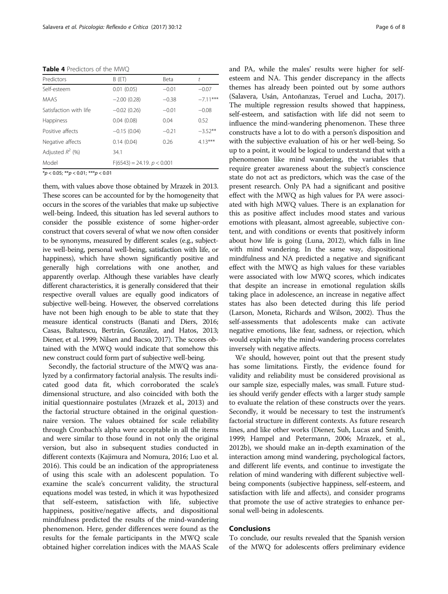<span id="page-5-0"></span>Table 4 Predictors of the MWQ

| Predictors             | B (ET)                          | <b>Beta</b> | t          |
|------------------------|---------------------------------|-------------|------------|
| Self-esteem            | 0.01(0.05)                      | $-0.01$     | $-0.07$    |
| <b>MAAS</b>            | $-2.00(0.28)$                   | $-0.38$     | $-7.11***$ |
| Satisfaction with life | $-0.02(0.26)$                   | $-0.01$     | $-0.08$    |
| <b>Happiness</b>       | 0.04(0.08)                      | 0.04        | 0.52       |
| Positive affects       | $-0.15(0.04)$                   | $-0.21$     | $-3.52**$  |
| Negative affects       | 0.14(0.04)                      | 0.26        | $4.13***$  |
| Adjusted $R^2$ (%)     | 34.1                            |             |            |
| Model                  | $F(6543) = 24.19$ . $p < 0.001$ |             |            |

 $*_{p}$  < 0.05; \*\*p < 0.01; \*\*\*p < 0.01

them, with values above those obtained by Mrazek in 2013. These scores can be accounted for by the homogeneity that occurs in the scores of the variables that make up subjective well-being. Indeed, this situation has led several authors to consider the possible existence of some higher-order construct that covers several of what we now often consider to be synonyms, measured by different scales (e.g., subjective well-being, personal well-being, satisfaction with life, or happiness), which have shown significantly positive and generally high correlations with one another, and apparently overlap. Although these variables have clearly different characteristics, it is generally considered that their respective overall values are equally good indicators of subjective well-being. However, the observed correlations have not been high enough to be able to state that they measure identical constructs (Banati and Diers, [2016](#page-6-0); Casas, Baltatescu, Bertrán, González, and Hatos, [2013](#page-6-0); Diener, et al. [1999;](#page-6-0) Nilsen and Bacso, [2017](#page-7-0)). The scores obtained with the MWQ would indicate that somehow this new construct could form part of subjective well-being.

Secondly, the factorial structure of the MWQ was analyzed by a confirmatory factorial analysis. The results indicated good data fit, which corroborated the scale's dimensional structure, and also coincided with both the initial questionnaire postulates (Mrazek et al., [2013\)](#page-7-0) and the factorial structure obtained in the original questionnaire version. The values obtained for scale reliability through Cronbach's alpha were acceptable in all the items and were similar to those found in not only the original version, but also in subsequent studies conducted in different contexts (Kajimura and Nomura, [2016](#page-6-0); Luo et al. [2016\)](#page-7-0). This could be an indication of the appropriateness of using this scale with an adolescent population. To examine the scale's concurrent validity, the structural equations model was tested, in which it was hypothesized that self-esteem, satisfaction with life, subjective happiness, positive/negative affects, and dispositional mindfulness predicted the results of the mind-wandering phenomenon. Here, gender differences were found as the results for the female participants in the MWQ scale obtained higher correlation indices with the MAAS Scale and PA, while the males' results were higher for selfesteem and NA. This gender discrepancy in the affects themes has already been pointed out by some authors (Salavera, Usán, Antoñanzas, Teruel and Lucha, [2017](#page-7-0)). The multiple regression results showed that happiness, self-esteem, and satisfaction with life did not seem to influence the mind-wandering phenomenon. These three constructs have a lot to do with a person's disposition and with the subjective evaluation of his or her well-being. So up to a point, it would be logical to understand that with a phenomenon like mind wandering, the variables that require greater awareness about the subject's conscience state do not act as predictors, which was the case of the present research. Only PA had a significant and positive effect with the MWQ as high values for PA were associated with high MWQ values. There is an explanation for this as positive affect includes mood states and various emotions with pleasant, almost agreeable, subjective content, and with conditions or events that positively inform about how life is going (Luna, [2012\)](#page-7-0), which falls in line with mind wandering. In the same way, dispositional mindfulness and NA predicted a negative and significant effect with the MWQ as high values for these variables were associated with low MWQ scores, which indicates that despite an increase in emotional regulation skills taking place in adolescence, an increase in negative affect states has also been detected during this life period (Larson, Moneta, Richards and Wilson, [2002\)](#page-7-0). Thus the self-assessments that adolescents make can activate negative emotions, like fear, sadness, or rejection, which would explain why the mind-wandering process correlates inversely with negative affects.

We should, however, point out that the present study has some limitations. Firstly, the evidence found for validity and reliability must be considered provisional as our sample size, especially males, was small. Future studies should verify gender effects with a larger study sample to evaluate the relation of these constructs over the years. Secondly, it would be necessary to test the instrument's factorial structure in different contexts. As future research lines, and like other works (Diener, Suh, Lucas and Smith, [1999](#page-6-0); Hampel and Petermann, [2006](#page-6-0); Mrazek, et al., [2012b](#page-7-0)), we should make an in-depth examination of the interaction among mind wandering, psychological factors, and different life events, and continue to investigate the relation of mind wandering with different subjective wellbeing components (subjective happiness, self-esteem, and satisfaction with life and affects), and consider programs that promote the use of active strategies to enhance personal well-being in adolescents.

## Conclusions

To conclude, our results revealed that the Spanish version of the MWQ for adolescents offers preliminary evidence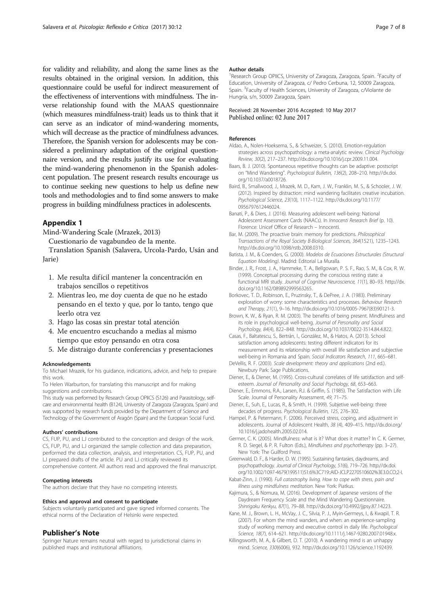<span id="page-6-0"></span>for validity and reliability, and along the same lines as the results obtained in the original version. In addition, this questionnaire could be useful for indirect measurement of the effectiveness of interventions with mindfulness. The inverse relationship found with the MAAS questionnaire (which measures mindfulness-trait) leads us to think that it can serve as an indicator of mind-wandering moments, which will decrease as the practice of mindfulness advances. Therefore, the Spanish version for adolescents may be considered a preliminary adaptation of the original questionnaire version, and the results justify its use for evaluating the mind-wandering phenomenon in the Spanish adolescent population. The present research results encourage us to continue seeking new questions to help us define new tools and methodologies and to find some answers to make progress in building mindfulness practices in adolescents.

## Appendix 1

Mind-Wandering Scale (Mrazek, [2013](#page-7-0))

Cuestionario de vagabundeo de la mente.

Translation Spanish (Salavera, Urcola-Pardo, Usán and Jarie)

- 1. Me resulta difícil mantener la concentración en trabajos sencillos o repetitivos
- 2. Mientras leo, me doy cuenta de que no he estado pensando en el texto y que, por lo tanto, tengo que leerlo otra vez
- 3. Hago las cosas sin prestar total atención
- 4. Me encuentro escuchando a medias al mismo tiempo que estoy pensando en otra cosa
- 5. Me distraigo durante conferencias y presentaciones

#### Acknowledgements

To Michael Mrazek, for his guidance, indications, advice, and help to prepare this work.

To Helen Warburton, for translating this manuscript and for making suggestions and contributions.

This study was performed by Research Group OPIICS (S126) and Parasitology, selfcare and environmental health (B124), University of Zaragoza (Zaragoza, Spain) and was supported by research funds provided by the Department of Science and Technology of the Government of Aragón (Spain) and the European Social Fund.

#### Authors' contributions

CS, FUP, PU, and LJ contributed to the conception and design of the work. CS, FUP, PU, and LJ organized the sample collection and data preparation, performed the data collection, analysis, and interpretation. CS, FUP, PU, and LJ prepared drafts of the article. PU and LJ critically reviewed its comprehensive content. All authors read and approved the final manuscript.

#### Competing interests

The authors declare that they have no competing interests.

#### Ethics and approval and consent to participate

Subjects voluntarily participated and gave signed informed consents. The ethical norms of the Declaration of Helsinki were respected.

## Publisher's Note

Springer Nature remains neutral with regard to jurisdictional claims in published maps and institutional affiliations.

#### Author details

<sup>1</sup>Research Group OPIICS, University of Zaragoza, Zaragoza, Spain. <sup>2</sup>Faculty of Education, University of Zaragoza, c/ Pedro Cerbuna, 12, 50009 Zaragoza, Spain. <sup>3</sup>Faculty of Health Sciences, University of Zaragoza, c/Violante de Hungría, s/n, 50009 Zaragoza, Spain.

#### Received: 28 November 2016 Accepted: 10 May 2017 Published online: 02 June 2017

## References

- Aldao, A., Nolen-Hoeksema, S., & Schweizer, S. (2010). Emotion-regulation strategies across psychopathology: a meta-analytic review. Clinical Psychology Review, 30(2), 217–237. [http://dx.doi.org/10.1016/j.cpr.2009.11.004.](http://dx.doi.org/10.1016/j.cpr.2009.11.004)
- Baars, B. J. (2010). Spontaneous repetitive thoughts can be adaptive: postscript on "Mind Wandering". Psychological Bulletin, 136(2), 208–210. [http://dx.doi.](http://dx.doi.org/10.1037/a0018726) [org/10.1037/a0018726](http://dx.doi.org/10.1037/a0018726).
- Baird, B., Smallwood, J., Mrazek, M. D., Kam, J. W., Franklin, M. S., & Schooler, J. W. (2012). Inspired by distraction: mind wandering facilitates creative incubation. Psychological Science, 23(10), 1117–1122. [http://dx.doi.org/10.1177/](http://dx.doi.org/10.1177/0956797612446024) [0956797612446024](http://dx.doi.org/10.1177/0956797612446024).
- Banati, P., & Diers, J. (2016). Measuring adolescent well-being: National Adolescent Assessment Cards (NAACs). In Innocenti Research Brief (p. 10). Florence: Unicef Office of Research – Innocenti.
- Bar, M. (2009). The proactive brain: memory for predictions. Philosophical Transactions of the Royal Society B-Biological Sciences, 364(1521), 1235–1243. [http://dx.doi.org/10.1098/rstb.2008.0310.](http://dx.doi.org/10.1098/rstb.2008.0310)
- Batista, J. M., & Coenders, G. (2000). Modelos de Ecuaciones Estructurales (Structural Equation Modeling). Madrid: Editorial La Muralla.
- Binder, J. R., Frost, J. A., Hammeke, T. A., Bellgowan, P. S. F., Rao, S. M., & Cox, R. W. (1999). Conceptual processing during the conscious resting state: a functional MRI study. Journal of Cognitive Neuroscience, 11(1), 80–93. [http://dx.](http://dx.doi.org/10.1162/089892999563265) [doi.org/10.1162/089892999563265](http://dx.doi.org/10.1162/089892999563265).
- Borkovec, T. D., Robinson, E., Pruzinsky, T., & DePree, J. A. (1983). Preliminary exploration of worry: some characteristics and processes. Behaviour Research and Therapy, 21(1), 9–16. [http://dx.doi.org/10.1016/0005-7967\(83\)90121-3.](http://dx.doi.org/10.1016/0005-7967(83)90121-3)
- Brown, K. W., & Ryan, R. M. (2003). The benefits of being present. Mindfulness and its role in psychological well-being. Journal of Personality and Social Psychology, 84(4), 822–848. [http://dx.doi.org/10.1037/0022-3514.84.4.822.](http://dx.doi.org/10.1037/0022-3514.84.4.822)
- Casas, F., Baltatescu, S., Bertrán, I., González, M., & Hatos, A. (2013). School satisfaction among adolescents: testing different indicators for its measurement and its relationship with overall life satisfaction and subjective well-being in Romania and Spain. Social Indicators Research, 111, 665–681.
- DeVellis, R. F. (2003). Scale development: theory and applications (2nd ed.). Newbury Park: Sage Publications.
- Diener, E., & Diener, M. (1995). Cross-cultural correlates of life satisfaction and selfesteem. Journal of Personality and Social Psychology, 68, 653–663.
- Diener, E., Emmons, R.A., Larsen, R.J. & Griffin, S. (1985). The Satisfaction with Life Scale. Journal of Personality Assessment, 49, 71–75.
- Diener, E., Suh, E., Lucas, R., & Smith, H. (1999). Subjetive well-being: three decades of progress. Psychological Bulletin, 125, 276–302.
- Hampel, P. & Petermann, F. (2006). Perceived stress, coping, and adjustment in adolescents. Journal of Adolescent Health, 38 (4), 409–415. [http://dx.doi.org/](http://dx.doi.org/10.1016/j.jadohealth.2005.02.014) [10.1016/j.jadohealth.2005.02.014.](http://dx.doi.org/10.1016/j.jadohealth.2005.02.014)
- Germer, C. K. (2005). Mindfulness: what is it? What does it matter? In C. K. Germer, R. D. Siegel, & P. R. Fulton (Eds.), Mindfulness and psychotherapy (pp. 3–27). New York: The Guilford Press.
- Greenwald, D. F., & Harder, D. W. (1995). Sustaining fantasies, daydreams, and psychopathology. Journal of Clinical Psychology, 51(6), 719–726. [http://dx.doi.](http://dx.doi.org/10.1002/1097-4679(199511)51:6%3C719::AID-JCLP2270510602%3E3.0.CO;2-I) [org/10.1002/1097-4679\(199511\)51:6%3C719::AID-JCLP2270510602%3E3.0.CO;2-I](http://dx.doi.org/10.1002/1097-4679(199511)51:6%3C719::AID-JCLP2270510602%3E3.0.CO;2-I).
- Kabat-Zinn, J. (1990). Full catastrophy living. How to cope with stress, pain and illness using mindfulness meditation. New York: Piatkus.
- Kajimura, S., & Nomura, M. (2016). Development of Japanese versions of the Daydream Frequency Scale and the Mind Wandering Questionnaire. Shinrigaku Kenkyu, 87(1), 79–88.<http://dx.doi.org/10.4992/jjpsy.87.14223>.
- Kane, M. J., Brown, L. H., McVay, J. C., Silvia, P. J., Myin-Germeys, I., & Kwapil, T. R. (2007). For whom the mind wanders, and when: an experience-sampling study of working memory and executive control in daily life. Psychological Science, 18(7), 614–621.<http://dx.doi.org/10.1111/j.1467-9280.2007.01948.x>.
- Killingsworth, M. A., & Gilbert, D. T. (2010). A wandering mind is an unhappy mind. Science, 330(6006), 932. [http://dx.doi.org/10.1126/science.1192439.](http://dx.doi.org/10.1126/science.1192439)